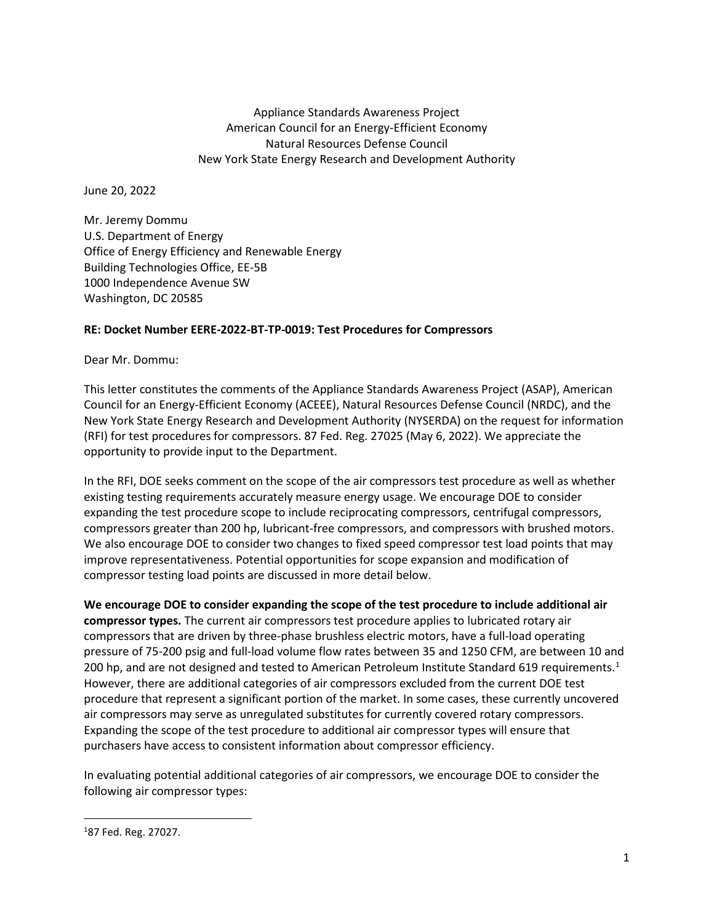Appliance Standards Awareness Project American Council for an Energy-Efficient Economy Natural Resources Defense Council New York State Energy Research and Development Authority

June 20, 2022

Mr. Jeremy Dommu U.S. Department of Energy Office of Energy Efficiency and Renewable Energy Building Technologies Office, EE-5B 1000 Independence Avenue SW Washington, DC 20585

## **RE: Docket Number EERE-2022-BT-TP-0019: Test Procedures for Compressors**

Dear Mr. Dommu:

This letter constitutes the comments of the Appliance Standards Awareness Project (ASAP), American Council for an Energy-Efficient Economy (ACEEE), Natural Resources Defense Council (NRDC), and the New York State Energy Research and Development Authority (NYSERDA) on the request for information (RFI) for test procedures for compressors. 87 Fed. Reg. 27025 (May 6, 2022). We appreciate the opportunity to provide input to the Department.

In the RFI, DOE seeks comment on the scope of the air compressors test procedure as well as whether existing testing requirements accurately measure energy usage. We encourage DOE to consider expanding the test procedure scope to include reciprocating compressors, centrifugal compressors, compressors greater than 200 hp, lubricant-free compressors, and compressors with brushed motors. We also encourage DOE to consider two changes to fixed speed compressor test load points that may improve representativeness. Potential opportunities for scope expansion and modification of compressor testing load points are discussed in more detail below.

**We encourage DOE to consider expanding the scope of the test procedure to include additional air compressor types.** The current air compressors test procedure applies to lubricated rotary air compressors that are driven by three-phase brushless electric motors, have a full-load operating pressure of 75-200 psig and full-load volume flow rates between 35 and 1250 CFM, are between 10 and 200 hp, and are not designed and tested to American Petroleum Institute Standard 6[1](#page-0-0)9 requirements.<sup>1</sup> However, there are additional categories of air compressors excluded from the current DOE test procedure that represent a significant portion of the market. In some cases, these currently uncovered air compressors may serve as unregulated substitutes for currently covered rotary compressors. Expanding the scope of the test procedure to additional air compressor types will ensure that purchasers have access to consistent information about compressor efficiency.

In evaluating potential additional categories of air compressors, we encourage DOE to consider the following air compressor types:

<span id="page-0-0"></span><sup>1</sup> 87 Fed. Reg. 27027.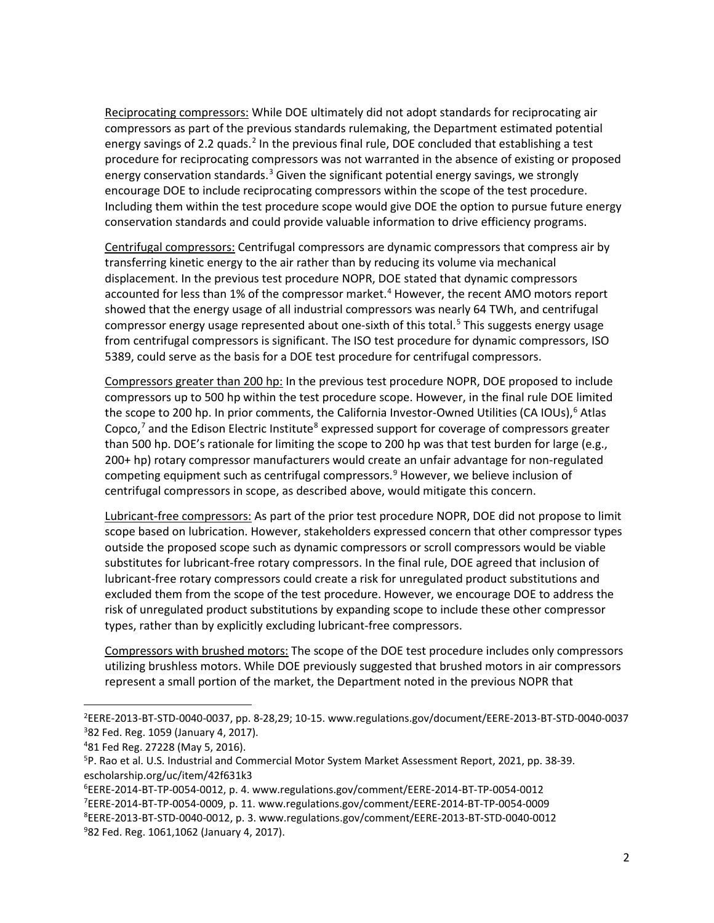Reciprocating compressors: While DOE ultimately did not adopt standards for reciprocating air compressors as part of the previous standards rulemaking, the Department estimated potential energy savings of [2](#page-1-0).2 quads.<sup>2</sup> In the previous final rule, DOE concluded that establishing a test procedure for reciprocating compressors was not warranted in the absence of existing or proposed energy conservation standards.<sup>[3](#page-1-1)</sup> Given the significant potential energy savings, we strongly encourage DOE to include reciprocating compressors within the scope of the test procedure. Including them within the test procedure scope would give DOE the option to pursue future energy conservation standards and could provide valuable information to drive efficiency programs.

Centrifugal compressors: Centrifugal compressors are dynamic compressors that compress air by transferring kinetic energy to the air rather than by reducing its volume via mechanical displacement. In the previous test procedure NOPR, DOE stated that dynamic compressors accounted for less than 1% of the compressor market.<sup>[4](#page-1-2)</sup> However, the recent AMO motors report showed that the energy usage of all industrial compressors was nearly 64 TWh, and centrifugal compressor energy usage represented about one-sixth of this total.<sup>[5](#page-1-3)</sup> This suggests energy usage from centrifugal compressors is significant. The ISO test procedure for dynamic compressors, ISO 5389, could serve as the basis for a DOE test procedure for centrifugal compressors.

Compressors greater than 200 hp: In the previous test procedure NOPR, DOE proposed to include compressors up to 500 hp within the test procedure scope. However, in the final rule DOE limited the scope to 200 hp. In prior comments, the California Investor-Owned Utilities (CA IOUs),<sup>[6](#page-1-4)</sup> Atlas Copco, $7$  and the Edison Electric Institute<sup>[8](#page-1-6)</sup> expressed support for coverage of compressors greater than 500 hp. DOE's rationale for limiting the scope to 200 hp was that test burden for large (e.g., 200+ hp) rotary compressor manufacturers would create an unfair advantage for non-regulated competing equipment such as centrifugal compressors. $9$  However, we believe inclusion of centrifugal compressors in scope, as described above, would mitigate this concern.

Lubricant-free compressors: As part of the prior test procedure NOPR, DOE did not propose to limit scope based on lubrication. However, stakeholders expressed concern that other compressor types outside the proposed scope such as dynamic compressors or scroll compressors would be viable substitutes for lubricant-free rotary compressors. In the final rule, DOE agreed that inclusion of lubricant-free rotary compressors could create a risk for unregulated product substitutions and excluded them from the scope of the test procedure. However, we encourage DOE to address the risk of unregulated product substitutions by expanding scope to include these other compressor types, rather than by explicitly excluding lubricant-free compressors.

Compressors with brushed motors: The scope of the DOE test procedure includes only compressors utilizing brushless motors. While DOE previously suggested that brushed motors in air compressors represent a small portion of the market, the Department noted in the previous NOPR that

<span id="page-1-1"></span><span id="page-1-0"></span><sup>2</sup> EERE-2013-BT-STD-0040-0037, pp. 8-28,29; 10-15. www.regulations.gov/document/EERE-2013-BT-STD-0040-0037 3 82 Fed. Reg. 1059 (January 4, 2017).

<span id="page-1-2"></span><sup>4</sup> 81 Fed Reg. 27228 (May 5, 2016).

<span id="page-1-3"></span><sup>5</sup> P. Rao et al. U.S. Industrial and Commercial Motor System Market Assessment Report, 2021, pp. 38-39. escholarship.org/uc/item/42f631k3

<span id="page-1-4"></span><sup>6</sup> EERE-2014-BT-TP-0054-0012, p. 4. www.regulations.gov/comment/EERE-2014-BT-TP-0054-0012

<span id="page-1-5"></span><sup>7</sup> EERE-2014-BT-TP-0054-0009, p. 11. www.regulations.gov/comment/EERE-2014-BT-TP-0054-0009

<span id="page-1-7"></span><span id="page-1-6"></span><sup>8</sup> EERE-2013-BT-STD-0040-0012, p. 3. www.regulations.gov/comment/EERE-2013-BT-STD-0040-0012 9 82 Fed. Reg. 1061,1062 (January 4, 2017).